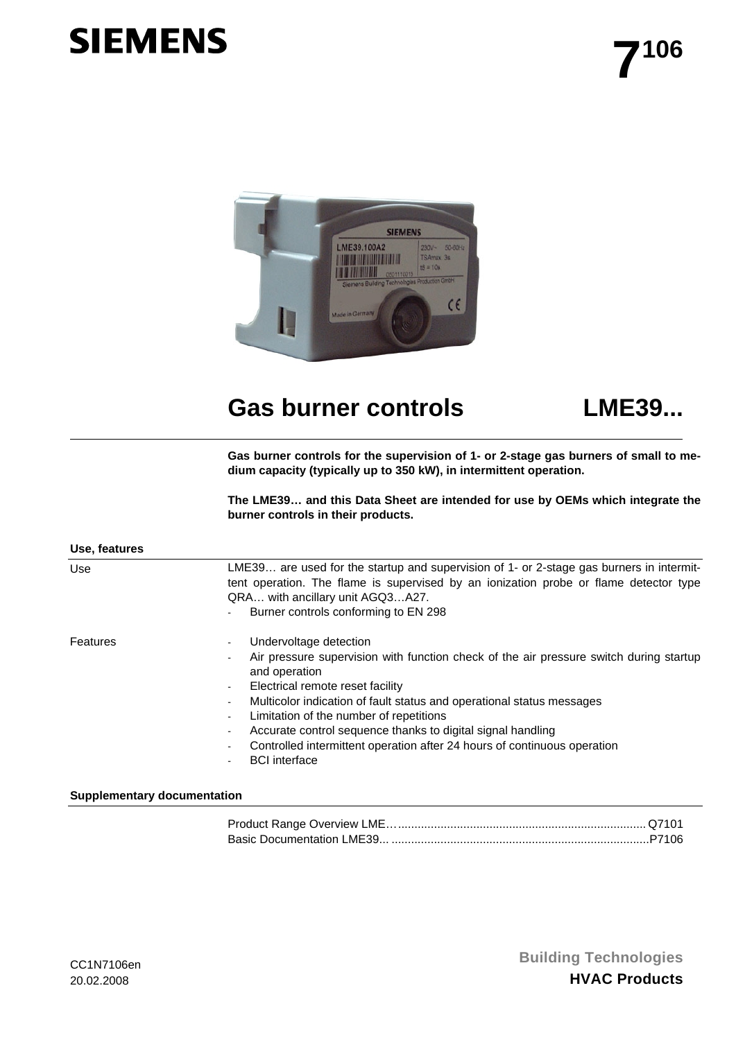# **SIEMENS**



## Gas burner controls **LME39...**



**Gas burner controls for the supervision of 1- or 2-stage gas burners of small to medium capacity (typically up to 350 kW), in intermittent operation.** 

**The LME39… and this Data Sheet are intended for use by OEMs which integrate the burner controls in their products.** 

| Use, features |                                                                                                                                                                                                                                                                                                                                                                                                                                                                                          |
|---------------|------------------------------------------------------------------------------------------------------------------------------------------------------------------------------------------------------------------------------------------------------------------------------------------------------------------------------------------------------------------------------------------------------------------------------------------------------------------------------------------|
| Use           | LME39 are used for the startup and supervision of 1- or 2-stage gas burners in intermit-<br>tent operation. The flame is supervised by an ionization probe or flame detector type<br>QRA with ancillary unit AGQ3A27.<br>Burner controls conforming to EN 298                                                                                                                                                                                                                            |
| Features      | Undervoltage detection<br>Air pressure supervision with function check of the air pressure switch during startup<br>and operation<br>Electrical remote reset facility<br>$\sim$<br>Multicolor indication of fault status and operational status messages<br>Limitation of the number of repetitions<br>Accurate control sequence thanks to digital signal handling<br>$\blacksquare$<br>Controlled intermittent operation after 24 hours of continuous operation<br><b>BCI</b> interface |

#### **Supplementary documentation**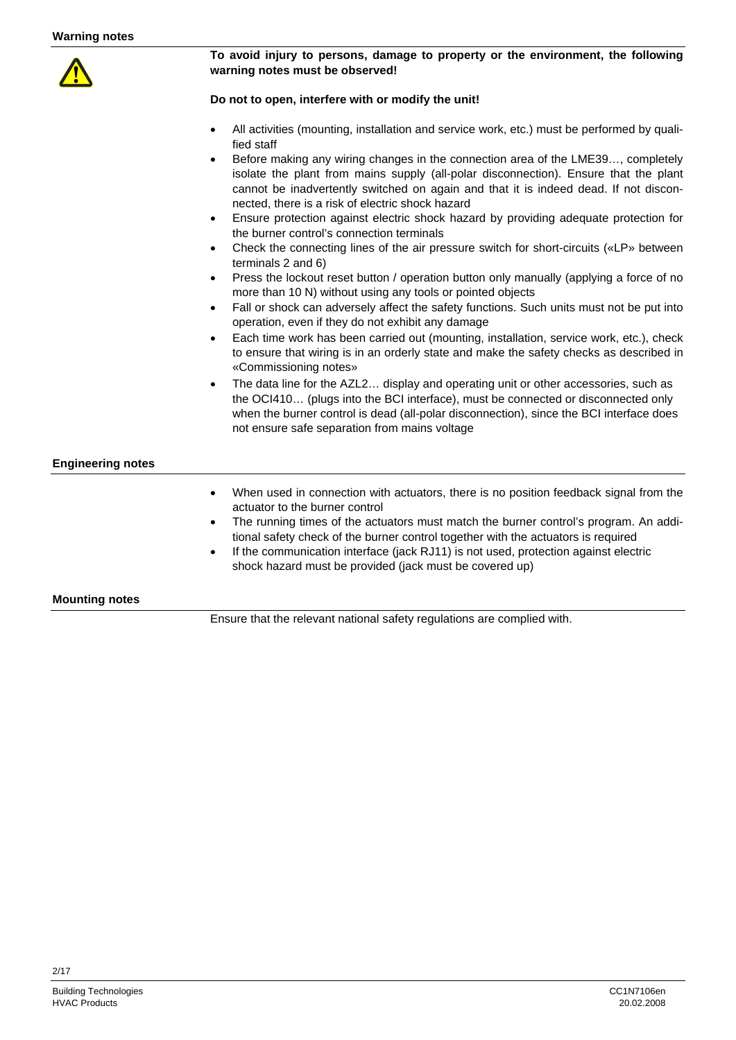

#### **To avoid injury to persons, damage to property or the environment, the following warning notes must be observed!**

#### **Do not to open, interfere with or modify the unit!**

- All activities (mounting, installation and service work, etc.) must be performed by qualified staff
- Before making any wiring changes in the connection area of the LME39…, completely isolate the plant from mains supply (all-polar disconnection). Ensure that the plant cannot be inadvertently switched on again and that it is indeed dead. If not disconnected, there is a risk of electric shock hazard
- Ensure protection against electric shock hazard by providing adequate protection for the burner control's connection terminals
- Check the connecting lines of the air pressure switch for short-circuits («LP» between terminals 2 and 6)
- Press the lockout reset button / operation button only manually (applying a force of no more than 10 N) without using any tools or pointed objects
- Fall or shock can adversely affect the safety functions. Such units must not be put into operation, even if they do not exhibit any damage
- Each time work has been carried out (mounting, installation, service work, etc.), check to ensure that wiring is in an orderly state and make the safety checks as described in «Commissioning notes»
- The data line for the AZL2... display and operating unit or other accessories, such as the OCI410… (plugs into the BCI interface), must be connected or disconnected only when the burner control is dead (all-polar disconnection), since the BCI interface does not ensure safe separation from mains voltage

#### **Engineering notes**

- When used in connection with actuators, there is no position feedback signal from the actuator to the burner control
- The running times of the actuators must match the burner control's program. An additional safety check of the burner control together with the actuators is required
- If the communication interface (jack RJ11) is not used, protection against electric shock hazard must be provided (jack must be covered up)

#### **Mounting notes**

Ensure that the relevant national safety regulations are complied with.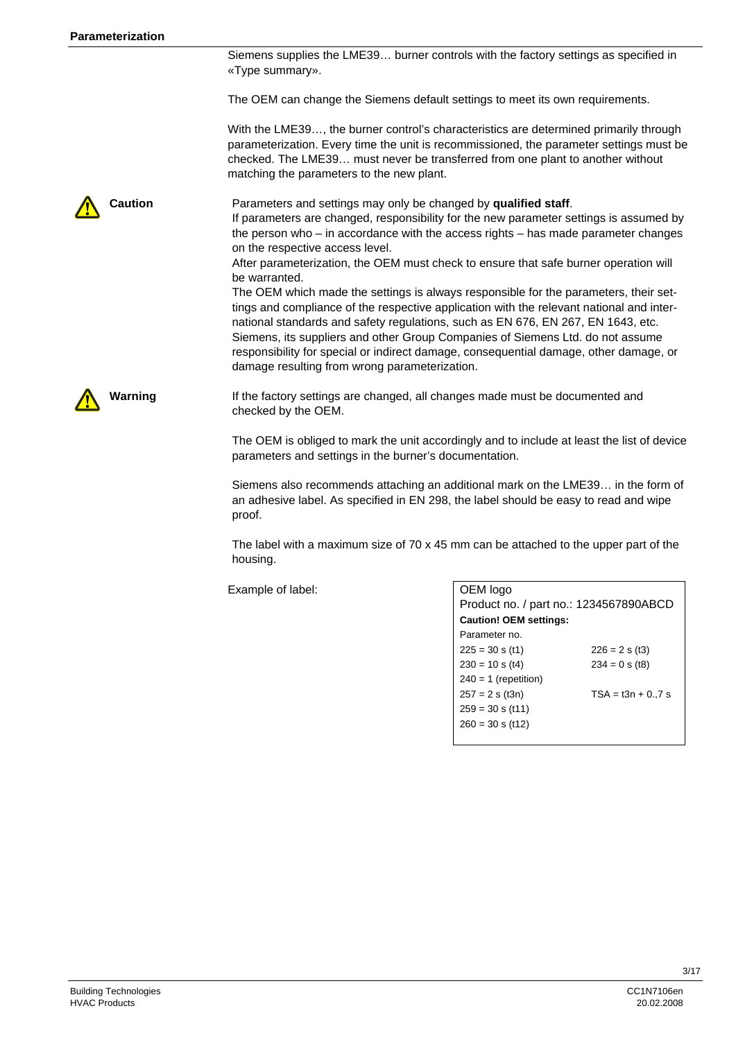Siemens supplies the LME39… burner controls with the factory settings as specified in «Type summary».

The OEM can change the Siemens default settings to meet its own requirements.

With the LME39…, the burner control's characteristics are determined primarily through parameterization. Every time the unit is recommissioned, the parameter settings must be checked. The LME39… must never be transferred from one plant to another without matching the parameters to the new plant.

**Caution** Parameters and settings may only be changed by **qualified staff**. If parameters are changed, responsibility for the new parameter settings is assumed by the person who – in accordance with the access rights – has made parameter changes on the respective access level. After parameterization, the OEM must check to ensure that safe burner operation will be warranted. The OEM which made the settings is always responsible for the parameters, their settings and compliance of the respective application with the relevant national and inter-

national standards and safety regulations, such as EN 676, EN 267, EN 1643, etc. Siemens, its suppliers and other Group Companies of Siemens Ltd. do not assume responsibility for special or indirect damage, consequential damage, other damage, or damage resulting from wrong parameterization.

**Warning** If the factory settings are changed, all changes made must be documented and checked by the OEM.

> The OEM is obliged to mark the unit accordingly and to include at least the list of device parameters and settings in the burner's documentation.

> Siemens also recommends attaching an additional mark on the LME39… in the form of an adhesive label. As specified in EN 298, the label should be easy to read and wipe proof.

The label with a maximum size of  $70 \times 45$  mm can be attached to the upper part of the housing.

Example of label:

| OEM logo                               |                     |  |  |  |
|----------------------------------------|---------------------|--|--|--|
| Product no. / part no.: 1234567890ABCD |                     |  |  |  |
| <b>Caution! OEM settings:</b>          |                     |  |  |  |
| Parameter no.                          |                     |  |  |  |
| $225 = 30$ s (t1)                      | $226 = 2 s (t3)$    |  |  |  |
| $230 = 10$ s (t4)                      | $234 = 0$ s (t8)    |  |  |  |
| $240 = 1$ (repetition)                 |                     |  |  |  |
| $257 = 2 s$ (t3n)                      | $TSA = t3n + 0.7 s$ |  |  |  |
| $259 = 30$ s (t11)                     |                     |  |  |  |
| $260 = 30$ s (t12)                     |                     |  |  |  |
|                                        |                     |  |  |  |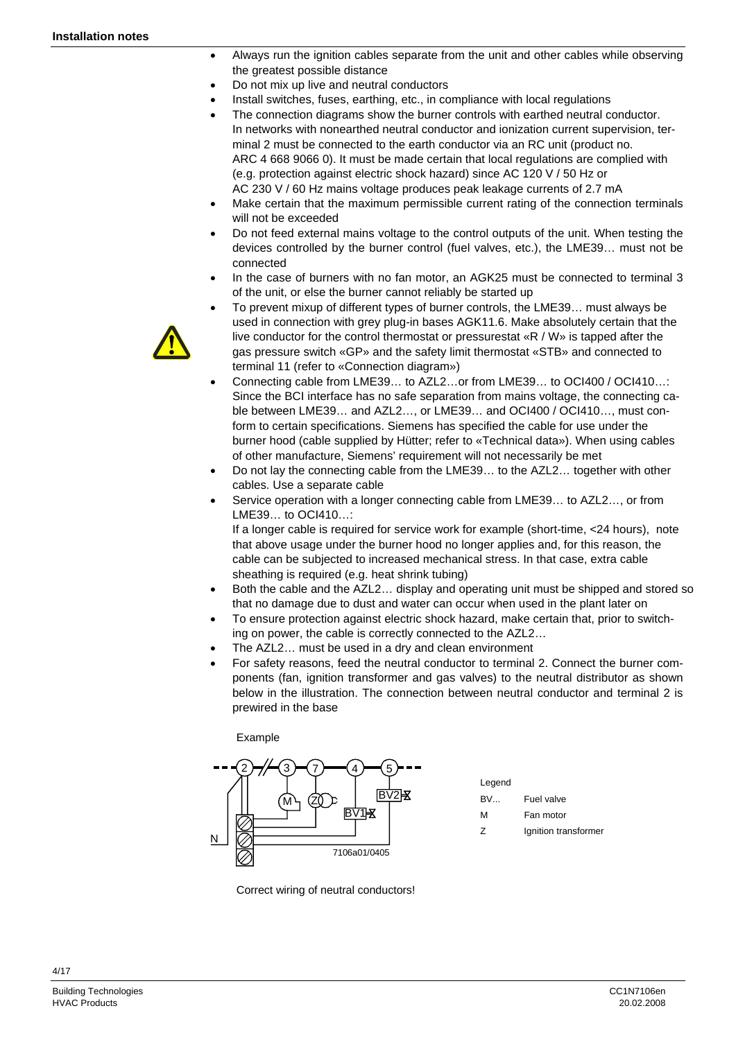- Always run the ignition cables separate from the unit and other cables while observing the greatest possible distance
- Do not mix up live and neutral conductors
- Install switches, fuses, earthing, etc., in compliance with local regulations
- The connection diagrams show the burner controls with earthed neutral conductor. In networks with nonearthed neutral conductor and ionization current supervision, terminal 2 must be connected to the earth conductor via an RC unit (product no. ARC 4 668 9066 0). It must be made certain that local regulations are complied with (e.g. protection against electric shock hazard) since AC 120 V / 50 Hz or AC 230 V / 60 Hz mains voltage produces peak leakage currents of 2.7 mA
- Make certain that the maximum permissible current rating of the connection terminals will not be exceeded
- Do not feed external mains voltage to the control outputs of the unit. When testing the devices controlled by the burner control (fuel valves, etc.), the LME39… must not be connected
- In the case of burners with no fan motor, an AGK25 must be connected to terminal 3 of the unit, or else the burner cannot reliably be started up



- To prevent mixup of different types of burner controls, the LME39… must always be used in connection with grey plug-in bases AGK11.6. Make absolutely certain that the live conductor for the control thermostat or pressurestat «R / W» is tapped after the gas pressure switch «GP» and the safety limit thermostat «STB» and connected to terminal 11 (refer to «Connection diagram»)
- Connecting cable from LME39… to AZL2…or from LME39… to OCI400 / OCI410…: Since the BCI interface has no safe separation from mains voltage, the connecting cable between LME39… and AZL2…, or LME39… and OCI400 / OCI410…, must conform to certain specifications. Siemens has specified the cable for use under the burner hood (cable supplied by Hütter; refer to «Technical data»). When using cables of other manufacture, Siemens' requirement will not necessarily be met
- Do not lay the connecting cable from the LME39... to the AZL2... together with other cables. Use a separate cable
- Service operation with a longer connecting cable from LME39... to AZL2..., or from LME39… to OCI410…:

If a longer cable is required for service work for example (short-time, <24 hours), note that above usage under the burner hood no longer applies and, for this reason, the cable can be subjected to increased mechanical stress. In that case, extra cable sheathing is required (e.g. heat shrink tubing)

- Both the cable and the AZL2... display and operating unit must be shipped and stored so that no damage due to dust and water can occur when used in the plant later on
- To ensure protection against electric shock hazard, make certain that, prior to switching on power, the cable is correctly connected to the AZL2…
- The AZL2... must be used in a dry and clean environment
- For safety reasons, feed the neutral conductor to terminal 2. Connect the burner components (fan, ignition transformer and gas valves) to the neutral distributor as shown below in the illustration. The connection between neutral conductor and terminal 2 is prewired in the base

Example



Legend BV. Fuel valve M Fan motor

Z Ignition transformer

Correct wiring of neutral conductors!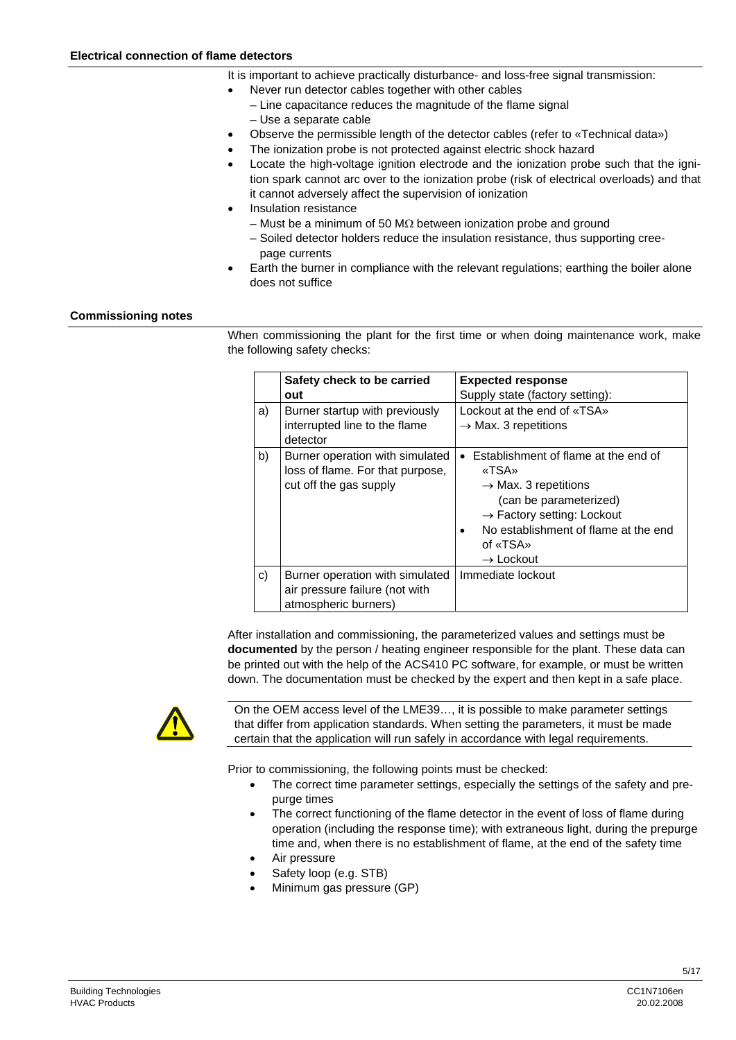- It is important to achieve practically disturbance- and loss-free signal transmission:
- Never run detector cables together with other cables
	- Line capacitance reduces the magnitude of the flame signal
	- Use a separate cable
- Observe the permissible length of the detector cables (refer to «Technical data»)
- The ionization probe is not protected against electric shock hazard
- Locate the high-voltage ignition electrode and the ionization probe such that the ignition spark cannot arc over to the ionization probe (risk of electrical overloads) and that it cannot adversely affect the supervision of ionization
- Insulation resistance
	- Must be a minimum of 50 M $\Omega$  between ionization probe and ground
	- Soiled detector holders reduce the insulation resistance, thus supporting cree page currents
- Earth the burner in compliance with the relevant regulations; earthing the boiler alone does not suffice

#### **Commissioning notes**

When commissioning the plant for the first time or when doing maintenance work, make the following safety checks:

|    | Safety check to be carried                                                                    | <b>Expected response</b>                                                                                                                                                                                                             |
|----|-----------------------------------------------------------------------------------------------|--------------------------------------------------------------------------------------------------------------------------------------------------------------------------------------------------------------------------------------|
|    | out                                                                                           | Supply state (factory setting):                                                                                                                                                                                                      |
| a) | Burner startup with previously<br>interrupted line to the flame<br>detector                   | Lockout at the end of «TSA»<br>$\rightarrow$ Max. 3 repetitions                                                                                                                                                                      |
| b) | Burner operation with simulated<br>loss of flame. For that purpose,<br>cut off the gas supply | • Establishment of flame at the end of<br>«TSA»<br>$\rightarrow$ Max. 3 repetitions<br>(can be parameterized)<br>$\rightarrow$ Factory setting: Lockout<br>No establishment of flame at the end<br>of «TSA»<br>$\rightarrow$ Lockout |
| c) | Burner operation with simulated<br>air pressure failure (not with<br>atmospheric burners)     | Immediate lockout                                                                                                                                                                                                                    |

After installation and commissioning, the parameterized values and settings must be **documented** by the person / heating engineer responsible for the plant. These data can be printed out with the help of the ACS410 PC software, for example, or must be written down. The documentation must be checked by the expert and then kept in a safe place.



On the OEM access level of the LME39…, it is possible to make parameter settings that differ from application standards. When setting the parameters, it must be made certain that the application will run safely in accordance with legal requirements.

Prior to commissioning, the following points must be checked:

- The correct time parameter settings, especially the settings of the safety and prepurge times
- The correct functioning of the flame detector in the event of loss of flame during operation (including the response time); with extraneous light, during the prepurge time and, when there is no establishment of flame, at the end of the safety time
- Air pressure
- Safety loop (e.g. STB)
- Minimum gas pressure (GP)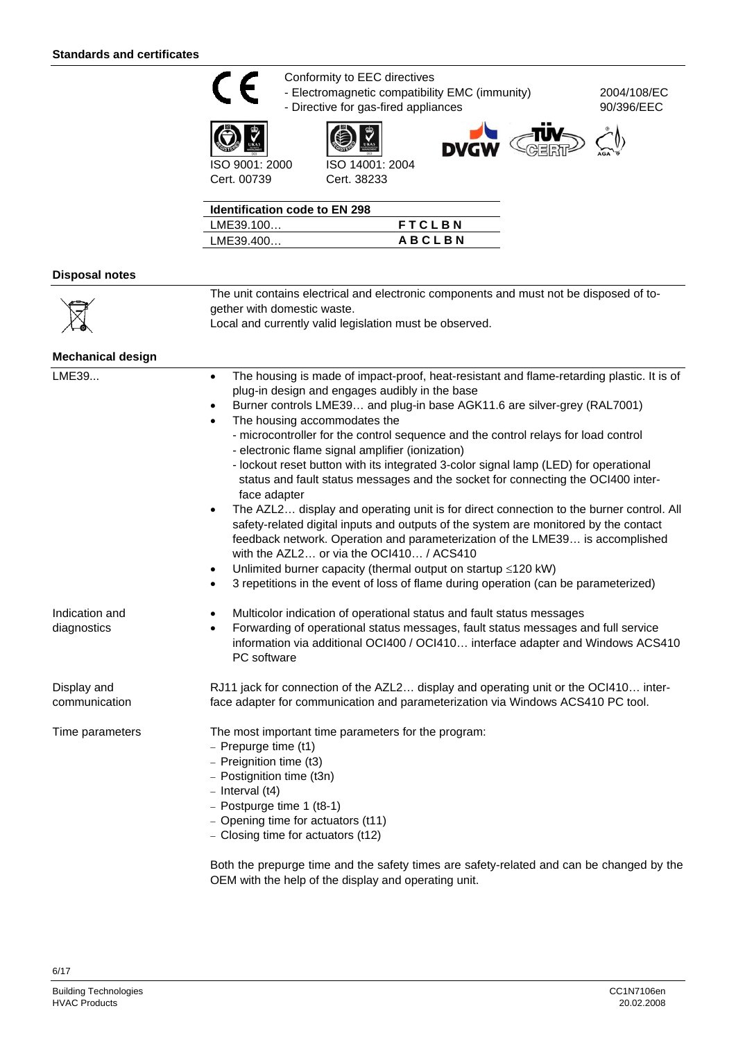









♦

2004/108/EC 90/396/EEC

ISO 9001: 2000 Cert. 00739

| ISO 14001: 2004 |
|-----------------|
| Cert. 38233     |

| <b>Identification code to EN 298</b> |               |
|--------------------------------------|---------------|
| LME39.100                            | <b>FTCLBN</b> |
| LME39.400                            | <b>ABCLBN</b> |
|                                      |               |

#### **Disposal notes**

| $\boxtimes$<br>gether with domestic waste.              | The unit contains electrical and electronic components and must not be disposed of to- |
|---------------------------------------------------------|----------------------------------------------------------------------------------------|
|                                                         |                                                                                        |
| Local and currently valid legislation must be observed. |                                                                                        |

| The housing is made of impact-proof, heat-resistant and flame-retarding plastic. It is of<br>$\bullet$<br>plug-in design and engages audibly in the base<br>Burner controls LME39 and plug-in base AGK11.6 are silver-grey (RAL7001)<br>$\bullet$<br>The housing accommodates the<br>$\bullet$<br>- microcontroller for the control sequence and the control relays for load control<br>- electronic flame signal amplifier (ionization)<br>- lockout reset button with its integrated 3-color signal lamp (LED) for operational<br>status and fault status messages and the socket for connecting the OCI400 inter-<br>face adapter<br>The AZL2 display and operating unit is for direct connection to the burner control. All<br>safety-related digital inputs and outputs of the system are monitored by the contact<br>feedback network. Operation and parameterization of the LME39 is accomplished<br>with the AZL2 or via the OCI410 / ACS410<br>Unlimited burner capacity (thermal output on startup ≤120 kW)<br>$\bullet$<br>3 repetitions in the event of loss of flame during operation (can be parameterized)<br>$\bullet$ |
|----------------------------------------------------------------------------------------------------------------------------------------------------------------------------------------------------------------------------------------------------------------------------------------------------------------------------------------------------------------------------------------------------------------------------------------------------------------------------------------------------------------------------------------------------------------------------------------------------------------------------------------------------------------------------------------------------------------------------------------------------------------------------------------------------------------------------------------------------------------------------------------------------------------------------------------------------------------------------------------------------------------------------------------------------------------------------------------------------------------------------------------|
| Multicolor indication of operational status and fault status messages<br>$\bullet$<br>Forwarding of operational status messages, fault status messages and full service<br>٠<br>information via additional OCI400 / OCI410 interface adapter and Windows ACS410<br>PC software                                                                                                                                                                                                                                                                                                                                                                                                                                                                                                                                                                                                                                                                                                                                                                                                                                                         |
| RJ11 jack for connection of the AZL2 display and operating unit or the OCI410 inter-<br>face adapter for communication and parameterization via Windows ACS410 PC tool.                                                                                                                                                                                                                                                                                                                                                                                                                                                                                                                                                                                                                                                                                                                                                                                                                                                                                                                                                                |
| The most important time parameters for the program:<br>- Prepurge time (t1)<br>- Preignition time (t3)<br>- Postignition time (t3n)<br>$-$ Interval (t4)<br>$-$ Postpurge time 1 (t8-1)<br>- Opening time for actuators (t11)<br>- Closing time for actuators (t12)<br>Dath the nussures time and the sofety times are sofety related and can be showned by th                                                                                                                                                                                                                                                                                                                                                                                                                                                                                                                                                                                                                                                                                                                                                                         |
|                                                                                                                                                                                                                                                                                                                                                                                                                                                                                                                                                                                                                                                                                                                                                                                                                                                                                                                                                                                                                                                                                                                                        |

Both the prepurge time and the safety times are safety-related and can be changed by the OEM with the help of the display and operating unit.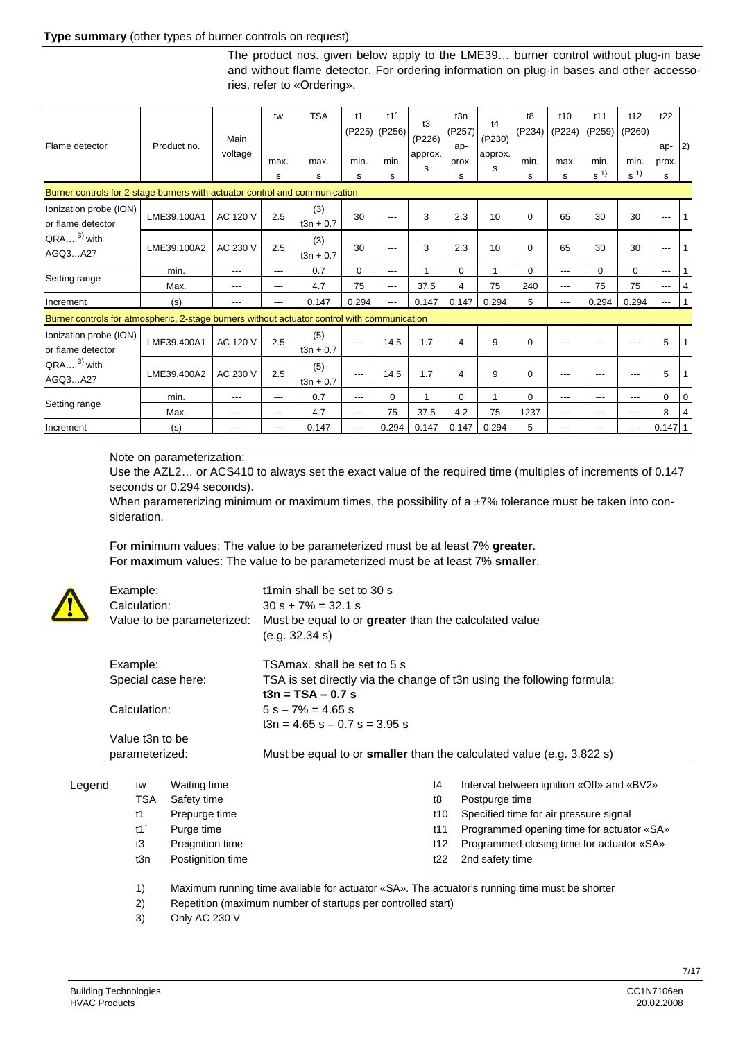#### **Type summary** (other types of burner controls on request)

The product nos. given below apply to the LME39… burner control without plug-in base and without flame detector. For ordering information on plug-in bases and other accessories, refer to «Ordering».

| Flame detector                                                                                                      | Product no. | Main     | tw    | <b>TSA</b>         | t1<br>(P225) | t1<br>(P256) | t3<br>(P226) | t3n<br>(P257)<br>ap- | t4<br>(P230) | t8<br>(P234) | t10<br>(P224)       | t11<br>(P259)          | t12<br>(P260)          | t22<br>ap-  | $ 2\rangle$ |
|---------------------------------------------------------------------------------------------------------------------|-------------|----------|-------|--------------------|--------------|--------------|--------------|----------------------|--------------|--------------|---------------------|------------------------|------------------------|-------------|-------------|
|                                                                                                                     |             | voltage  | max.  | max.               | min.         | min.         | approx.<br>s | prox.                | approx.<br>s | min.         | max.                | min.<br>s <sup>1</sup> | min.<br>s <sup>1</sup> | prox.       |             |
| s<br>s<br>s<br>s<br>s<br>s<br>s<br>s<br>Burner controls for 2-stage burners with actuator control and communication |             |          |       |                    |              |              |              |                      |              |              |                     |                        |                        |             |             |
| Ionization probe (ION)<br>or flame detector                                                                         | LME39.100A1 | AC 120 V | 2.5   | (3)<br>$t3n + 0.7$ | 30           | $---$        | 3            | 2.3                  | 10           | $\Omega$     | 65                  | 30                     | 30                     | $---$       |             |
| $QRA$ 3) with<br>AGQ3A27                                                                                            | LME39.100A2 | AC 230 V | 2.5   | (3)<br>$t3n + 0.7$ | 30           | ---          | 3            | 2.3                  | 10           | 0            | 65                  | 30                     | 30                     | $---$       |             |
|                                                                                                                     | min.        | ---      | $---$ | 0.7                | $\mathbf 0$  | $---$        | 1            | 0                    | 1            | 0            | ---                 | 0                      | $\Omega$               | $---$       | 1           |
| Setting range                                                                                                       | Max.        | ---      | $---$ | 4.7                | 75           | $---$        | 37.5         | 4                    | 75           | 240          | ---                 | 75                     | 75                     | $---$       | 4           |
| Increment                                                                                                           | (s)         | ---      | $---$ | 0.147              | 0.294        | $---$        | 0.147        | 0.147                | 0.294        | 5            | $\qquad \qquad - -$ | 0.294                  | 0.294                  | $---$       | $\mathbf 1$ |
| Burner controls for atmospheric, 2-stage burners without actuator control with communication                        |             |          |       |                    |              |              |              |                      |              |              |                     |                        |                        |             |             |
| Ionization probe (ION)<br>or flame detector                                                                         | LME39.400A1 | AC 120 V | 2.5   | (5)<br>$t3n + 0.7$ | ---          | 14.5         | 1.7          | 4                    | 9            | 0            | ---                 | ---                    | ---                    | 5           |             |
| $QRA$ <sup>3)</sup> with<br>AGQ3A27                                                                                 | LME39.400A2 | AC 230 V | 2.5   | (5)<br>$t3n + 0.7$ | $---$        | 14.5         | 1.7          | 4                    | 9            | $\Omega$     | ---                 | ---                    | ---                    | 5           |             |
|                                                                                                                     | min.        | ---      | $---$ | 0.7                | $---$        | $\mathbf 0$  | 1            | 0                    |              | 0            | ---                 | ---                    | ---                    | $\Omega$    | 0           |
| Setting range                                                                                                       | Max.        | ---      | $---$ | 4.7                | $---$        | 75           | 37.5         | 4.2                  | 75           | 1237         | ---                 | ---                    | ---                    | 8           | 4           |
| Increment                                                                                                           | (s)         | ---      | $---$ | 0.147              | $---$        | 0.294        | 0.147        | 0.147                | 0.294        | 5            | ---                 | ---                    | ---                    | $0.147$   1 |             |

Note on parameterization:

Use the AZL2… or ACS410 to always set the exact value of the required time (multiples of increments of 0.147 seconds or 0.294 seconds).

When parameterizing minimum or maximum times, the possibility of a  $\pm$ 7% tolerance must be taken into consideration.

For **min**imum values: The value to be parameterized must be at least 7% **greater**. For **max**imum values: The value to be parameterized must be at least 7% **smaller**.

|                                    | Example:<br>Calculation:<br>Value to be parameterized: | t1min shall be set to 30 s<br>$30 s + 7\% = 32.1 s$<br>Must be equal to or greater than the calculated value<br>(e.g. 32.34 s) |  |  |
|------------------------------------|--------------------------------------------------------|--------------------------------------------------------------------------------------------------------------------------------|--|--|
|                                    | Example:                                               | TSAmax, shall be set to 5 s                                                                                                    |  |  |
| Special case here:<br>Calculation: |                                                        | TSA is set directly via the change of t3n using the following formula:                                                         |  |  |
|                                    |                                                        | $t3n = TSA - 0.7 s$                                                                                                            |  |  |
|                                    |                                                        | $5 s - 7\% = 4.65 s$                                                                                                           |  |  |
|                                    |                                                        | $13n = 4.65$ s $- 0.7$ s $= 3.95$ s                                                                                            |  |  |
|                                    | Value t3n to be                                        |                                                                                                                                |  |  |
| parameterized:                     |                                                        | Must be equal to or <b>smaller</b> than the calculated value (e.g. 3.822 s)                                                    |  |  |
|                                    |                                                        |                                                                                                                                |  |  |
| _egend                             | <b>Waiting time</b><br>tw                              | Interval between ignition «Off» and «BV2»<br>t4                                                                                |  |  |

| Legend | tw  | Waiting time      | t4  | Interval between ignition «Off» and «BV2» |
|--------|-----|-------------------|-----|-------------------------------------------|
|        | TSA | Safety time       | t8  | Postpurge time                            |
|        | t1  | Prepurge time     | t10 | Specified time for air pressure signal    |
|        | t11 | Purge time        | t11 | Programmed opening time for actuator «SA» |
|        | tЗ  | Preignition time  | t12 | Programmed closing time for actuator «SA» |
|        | t3n | Postignition time | t22 | 2nd safety time                           |
|        |     |                   |     |                                           |
|        |     |                   |     |                                           |

1) Maximum running time available for actuator «SA». The actuator's running time must be shorter

2) Repetition (maximum number of startups per controlled start)

3) Only AC 230 V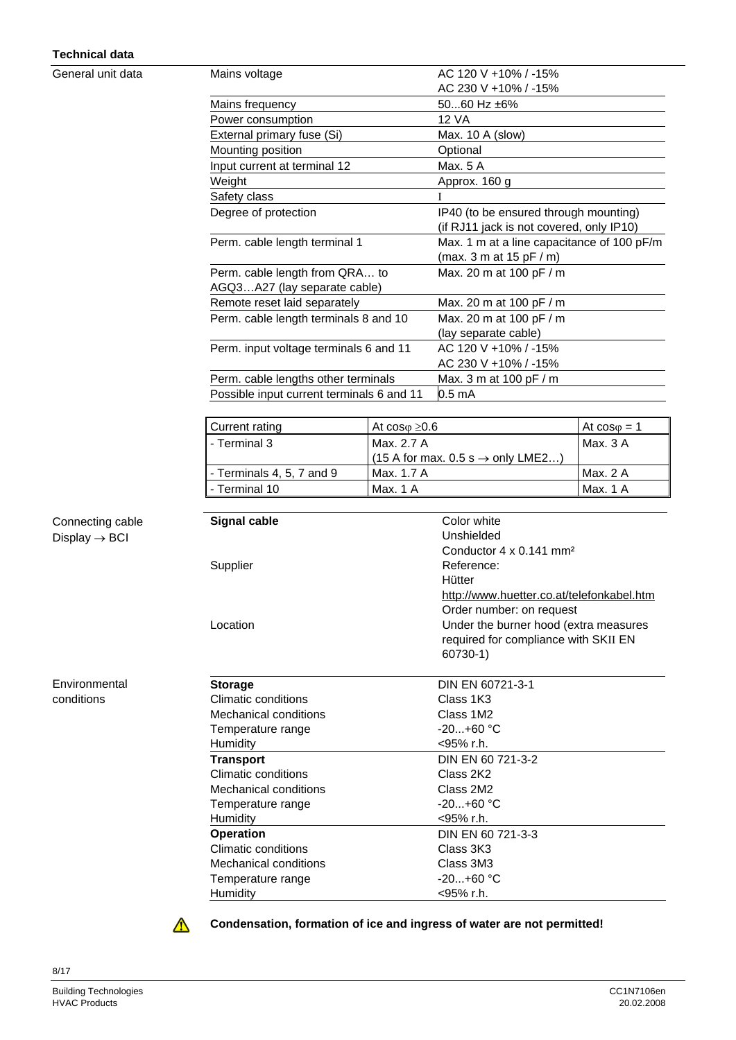#### **Technical data**

General unit data

| Mains voltage                             | AC 120 V +10% / -15%                       |
|-------------------------------------------|--------------------------------------------|
|                                           | AC 230 V +10% / -15%                       |
| Mains frequency                           | 5060 Hz ±6%                                |
| Power consumption                         | 12 VA                                      |
| External primary fuse (Si)                | Max. 10 A (slow)                           |
| Mounting position                         | Optional                                   |
| Input current at terminal 12              | Max. 5 A                                   |
| Weight                                    | Approx. 160 g                              |
| Safety class                              |                                            |
| Degree of protection                      | IP40 (to be ensured through mounting)      |
|                                           | (if RJ11 jack is not covered, only IP10)   |
| Perm. cable length terminal 1             | Max. 1 m at a line capacitance of 100 pF/m |
|                                           | (max. 3 m at 15 pF / m)                    |
| Perm. cable length from QRA to            | Max. 20 m at 100 pF / m                    |
| AGQ3A27 (lay separate cable)              |                                            |
| Remote reset laid separately              | Max. 20 m at 100 pF / m                    |
| Perm. cable length terminals 8 and 10     | Max. 20 m at 100 pF / m                    |
|                                           | (lay separate cable)                       |
| Perm. input voltage terminals 6 and 11    | AC 120 V +10% / -15%                       |
|                                           | AC 230 V +10% / -15%                       |
| Perm. cable lengths other terminals       | Max. 3 m at 100 pF / m                     |
| Possible input current terminals 6 and 11 | 0.5 mA                                     |
|                                           |                                            |

| Current rating                                  | At $cos\varphi \geq 0.6$                                | At $cos\varphi = 1$ |
|-------------------------------------------------|---------------------------------------------------------|---------------------|
| ll - Terminal 3                                 | Max. 2.7 A                                              | Max. 3 A            |
|                                                 | $(15 \text{ A}$ for max. 0.5 s $\rightarrow$ only LME2) |                     |
| $\mathsf{\mathsf{I}}$ - Terminals 4, 5, 7 and 9 | Max. 1.7 A                                              | Max. 2 A            |
| <b>I</b> - Terminal 10                          | Max. 1 A                                                | Max. 1 A            |

| <b>Signal cable</b>   | Color white                               |
|-----------------------|-------------------------------------------|
|                       | Unshielded                                |
|                       | Conductor 4 x 0.141 mm <sup>2</sup>       |
| Supplier              | Reference:                                |
|                       | Hütter                                    |
|                       | http://www.huetter.co.at/telefonkabel.htm |
|                       | Order number: on request                  |
| Location              | Under the burner hood (extra measures     |
|                       | required for compliance with SKII EN      |
|                       | 60730-1)                                  |
|                       |                                           |
| <b>Storage</b>        | DIN EN 60721-3-1                          |
| Climatic conditions   | Class 1K3                                 |
| Mechanical conditions | Class 1M2                                 |
| Temperature range     | $-20+60$ °C                               |
| Humidity              | $<$ 95% r.h.                              |
| <b>Transport</b>      | DIN EN 60 721-3-2                         |
| Climatic conditions   | Class 2K2                                 |
| Mechanical conditions | Class 2M2                                 |
| Temperature range     | $-20+60$ °C                               |
| Humidity              | $<$ 95% r.h.                              |
| <b>Operation</b>      | DIN EN 60 721-3-3                         |
| Climatic conditions   | Class 3K3                                 |
| Mechanical conditions | Class 3M3                                 |
| Temperature range     | $-20+60$ °C                               |
| Humidity              | <95% r.h.                                 |

Connecting cable  $Display \rightarrow BCI$ 

Environmental conditions

 $\Lambda$ 

**Condensation, formation of ice and ingress of water are not permitted!**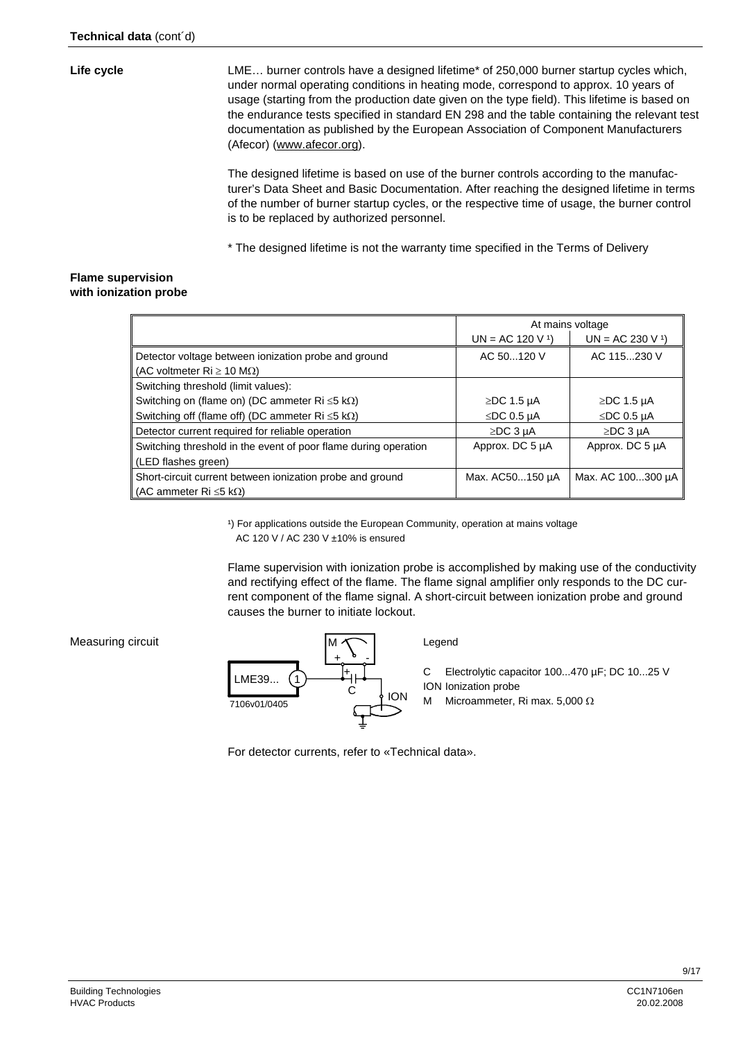#### **Life cycle**

LME… burner controls have a designed lifetime\* of 250,000 burner startup cycles which, under normal operating conditions in heating mode, correspond to approx. 10 years of usage (starting from the production date given on the type field). This lifetime is based on the endurance tests specified in standard EN 298 and the table containing the relevant test documentation as published by the European Association of Component Manufacturers (Afecor) (www.afecor.org).

The designed lifetime is based on use of the burner controls according to the manufacturer's Data Sheet and Basic Documentation. After reaching the designed lifetime in terms of the number of burner startup cycles, or the respective time of usage, the burner control is to be replaced by authorized personnel.

\* The designed lifetime is not the warranty time specified in the Terms of Delivery

#### **Flame supervision with ionization probe**

|                                                                            | At mains voltage |                   |
|----------------------------------------------------------------------------|------------------|-------------------|
|                                                                            | $UN = AC 120 V1$ | $UN = AC 230 V1$  |
| Detector voltage between ionization probe and ground                       | AC 50120 V       | AC 115230 V       |
| (AC voltmeter $\text{Ri} \geq 10 \text{ M}\Omega$ )                        |                  |                   |
| Switching threshold (limit values):                                        |                  |                   |
| Switching on (flame on) (DC ammeter $\text{Ri} \leq 5 \text{ k}\Omega$ )   | $\ge$ DC 1.5 µA  | $\ge$ DC 1.5 µA   |
| Switching off (flame off) (DC ammeter $\text{Ri} \leq 5 \text{ k}\Omega$ ) | $\le$ DC 0.5 µA  | $\leq$ DC 0.5 µA  |
| Detector current required for reliable operation                           | $\ge$ DC 3 µA    | $\ge$ DC 3 µA     |
| Switching threshold in the event of poor flame during operation            | Approx. DC 5 µA  | Approx. DC 5 µA   |
| (LED flashes green)                                                        |                  |                   |
| Short-circuit current between ionization probe and ground                  | Max. AC50150 µA  | Max. AC 100300 µA |
| (AC ammeter Ri $\leq$ 5 k $\Omega$ )                                       |                  |                   |

<sup>1</sup>) For applications outside the European Community, operation at mains voltage AC 120 V / AC 230 V ±10% is ensured

Flame supervision with ionization probe is accomplished by making use of the conductivity and rectifying effect of the flame. The flame signal amplifier only responds to the DC current component of the flame signal. A short-circuit between ionization probe and ground causes the burner to initiate lockout.

#### Measuring circuit



Legend

C Electrolytic capacitor 100...470 µF; DC 10...25 V ION Ionization probe

M Microammeter, Ri max. 5,000 Ω

For detector currents, refer to «Technical data».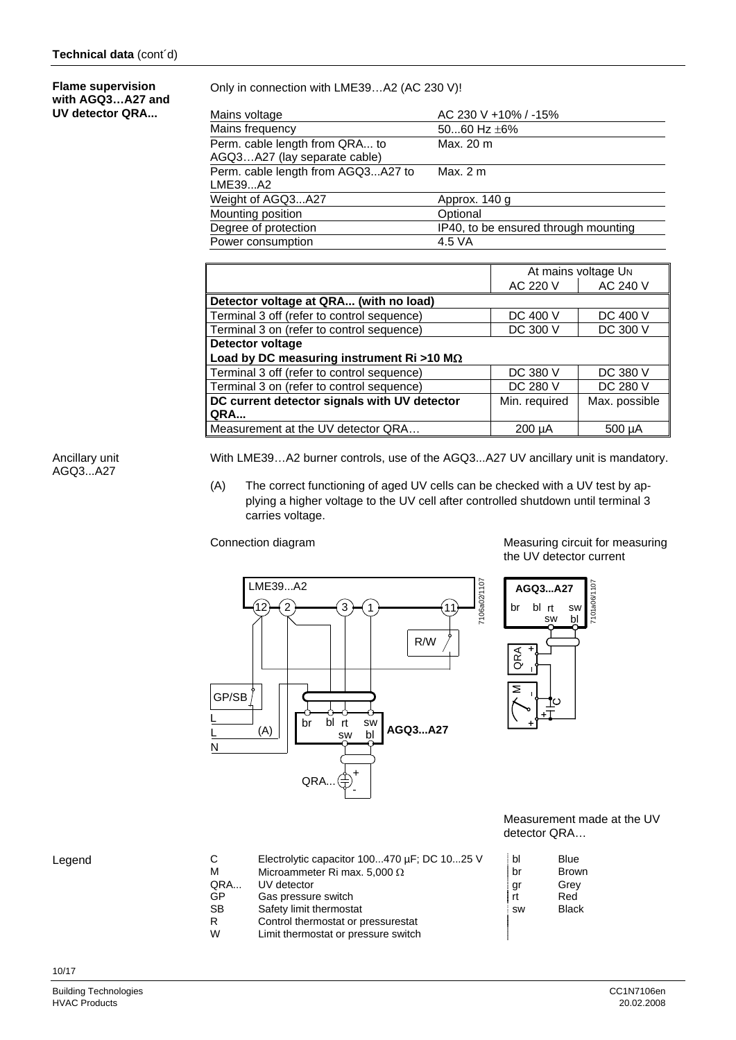#### **Flame supervision with AGQ3…A27 and UV detector QRA...**

Only in connection with LME39…A2 (AC 230 V)!

| AC 230 V +10% / -15%                 |
|--------------------------------------|
| 5060 Hz $\pm$ 6%                     |
| Max. 20 m                            |
|                                      |
| Max. $2m$                            |
|                                      |
| Approx. 140 g                        |
| Optional                             |
| IP40, to be ensured through mounting |
| 4.5 VA                               |
|                                      |

|                                                   |               | At mains voltage UN |
|---------------------------------------------------|---------------|---------------------|
|                                                   | AC 220 V      | AC 240 V            |
| Detector voltage at QRA (with no load)            |               |                     |
| Terminal 3 off (refer to control sequence)        | DC 400 V      | DC 400 V            |
| Terminal 3 on (refer to control sequence)         | DC 300 V      | DC 300 V            |
| Detector voltage                                  |               |                     |
| Load by DC measuring instrument Ri >10 M $\Omega$ |               |                     |
| Terminal 3 off (refer to control sequence)        | DC 380 V      | DC 380 V            |
| Terminal 3 on (refer to control sequence)         | DC 280 V      | DC 280 V            |
| DC current detector signals with UV detector      | Min. required | Max. possible       |
| <b>QRA</b>                                        |               |                     |
| Measurement at the UV detector QRA                | $200 \mu A$   | 500 µA              |

Ancillary unit AGQ3...A27

With LME39…A2 burner controls, use of the AGQ3...A27 UV ancillary unit is mandatory.

(A) The correct functioning of aged UV cells can be checked with a UV test by applying a higher voltage to the UV cell after controlled shutdown until terminal 3 carries voltage.



Limit thermostat or pressure switch

Safety limit thermostat R Control thermostat or pressurestat<br>W limit thermostat or pressure switch

Connection diagram Connection diagram Connection diagram the UV detector current



 Measurement made at the UV detector QRA…

| C         | Electrolytic capacitor 100470 µF; DC 1025 V | bl        | Blue         |
|-----------|---------------------------------------------|-----------|--------------|
|           |                                             |           |              |
| M         | Microammeter Ri max. 5,000 $\Omega$         | br        | <b>Brown</b> |
| QRA       | UV detector                                 | gı        | Grey         |
| GP        | Gas pressure switch                         | rt        | Red          |
| <b>SB</b> | Safety limit thermostat                     | <b>SW</b> | <b>Black</b> |
| R         | Control thermostat or pressurestat          |           |              |

#### Legend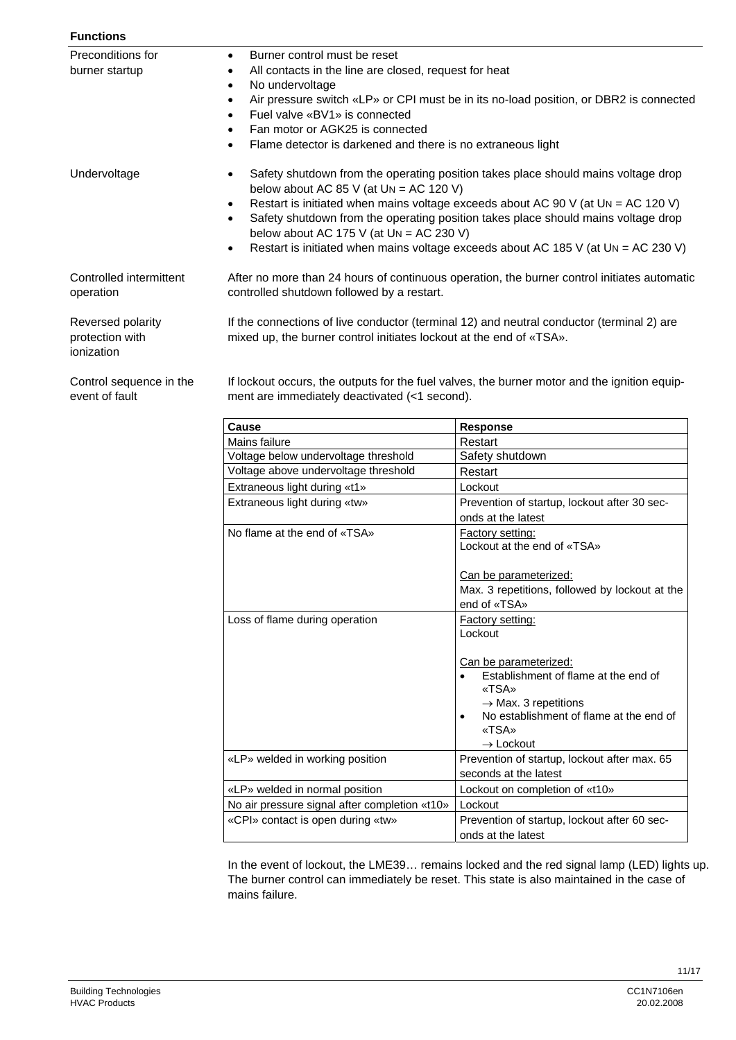| <b>Functions</b>                                   |                                                                                                                                                                                                                                                                                                                                                                                                                 |                                                                                                                                                                                                                                                                                                                                                 |  |
|----------------------------------------------------|-----------------------------------------------------------------------------------------------------------------------------------------------------------------------------------------------------------------------------------------------------------------------------------------------------------------------------------------------------------------------------------------------------------------|-------------------------------------------------------------------------------------------------------------------------------------------------------------------------------------------------------------------------------------------------------------------------------------------------------------------------------------------------|--|
| Preconditions for<br>burner startup                | Burner control must be reset<br>$\bullet$<br>All contacts in the line are closed, request for heat<br>$\bullet$<br>No undervoltage<br>$\bullet$<br>Air pressure switch «LP» or CPI must be in its no-load position, or DBR2 is connected<br>$\bullet$<br>Fuel valve «BV1» is connected<br>$\bullet$<br>Fan motor or AGK25 is connected<br>٠<br>Flame detector is darkened and there is no extraneous light<br>٠ |                                                                                                                                                                                                                                                                                                                                                 |  |
| Undervoltage                                       | ٠<br>below about AC 85 V (at $UN = AC 120 V$ )<br>$\bullet$<br>$\bullet$<br>below about AC 175 V (at $UN = AC 230 V$ )<br>٠                                                                                                                                                                                                                                                                                     | Safety shutdown from the operating position takes place should mains voltage drop<br>Restart is initiated when mains voltage exceeds about AC 90 V (at UN = AC 120 V)<br>Safety shutdown from the operating position takes place should mains voltage drop<br>Restart is initiated when mains voltage exceeds about AC 185 V (at UN = AC 230 V) |  |
| Controlled intermittent<br>operation               | After no more than 24 hours of continuous operation, the burner control initiates automatic<br>controlled shutdown followed by a restart.                                                                                                                                                                                                                                                                       |                                                                                                                                                                                                                                                                                                                                                 |  |
| Reversed polarity<br>protection with<br>ionization | If the connections of live conductor (terminal 12) and neutral conductor (terminal 2) are<br>mixed up, the burner control initiates lockout at the end of «TSA».                                                                                                                                                                                                                                                |                                                                                                                                                                                                                                                                                                                                                 |  |
| Control sequence in the<br>event of fault          | ment are immediately deactivated (<1 second).                                                                                                                                                                                                                                                                                                                                                                   | If lockout occurs, the outputs for the fuel valves, the burner motor and the ignition equip-                                                                                                                                                                                                                                                    |  |
|                                                    | Cause                                                                                                                                                                                                                                                                                                                                                                                                           | <b>Response</b>                                                                                                                                                                                                                                                                                                                                 |  |
|                                                    | Mains failure                                                                                                                                                                                                                                                                                                                                                                                                   | Restart                                                                                                                                                                                                                                                                                                                                         |  |
|                                                    | Voltage below undervoltage threshold                                                                                                                                                                                                                                                                                                                                                                            | Safety shutdown                                                                                                                                                                                                                                                                                                                                 |  |
|                                                    | Voltage above undervoltage threshold                                                                                                                                                                                                                                                                                                                                                                            | Restart                                                                                                                                                                                                                                                                                                                                         |  |
|                                                    | Extraneous light during «t1»                                                                                                                                                                                                                                                                                                                                                                                    | Lockout                                                                                                                                                                                                                                                                                                                                         |  |
|                                                    | Extraneous light during «tw»                                                                                                                                                                                                                                                                                                                                                                                    | Prevention of startup, lockout after 30 sec-<br>onds at the latest                                                                                                                                                                                                                                                                              |  |
|                                                    | No flame at the end of «TSA»                                                                                                                                                                                                                                                                                                                                                                                    | <b>Factory setting:</b><br>Lockout at the end of «TSA»<br>Can be parameterized:<br>Max 3 repetitions followed by lockout at the                                                                                                                                                                                                                 |  |

|                                               | Can be parameterized:<br>Max. 3 repetitions, followed by lockout at the<br>end of «TSA»                                                                                                 |  |
|-----------------------------------------------|-----------------------------------------------------------------------------------------------------------------------------------------------------------------------------------------|--|
| Loss of flame during operation                | Factory setting:<br>Lockout                                                                                                                                                             |  |
|                                               | Can be parameterized:<br>Establishment of flame at the end of<br>«TSA»<br>$\rightarrow$ Max. 3 repetitions<br>No establishment of flame at the end of<br>«TSA»<br>$\rightarrow$ Lockout |  |
| «LP» welded in working position               | Prevention of startup, lockout after max. 65<br>seconds at the latest                                                                                                                   |  |
| «LP» welded in normal position                | Lockout on completion of «t10»                                                                                                                                                          |  |
| No air pressure signal after completion «t10» | Lockout                                                                                                                                                                                 |  |
| «CPI» contact is open during «tw»             | Prevention of startup, lockout after 60 sec-<br>onds at the latest                                                                                                                      |  |

In the event of lockout, the LME39… remains locked and the red signal lamp (LED) lights up. The burner control can immediately be reset. This state is also maintained in the case of mains failure.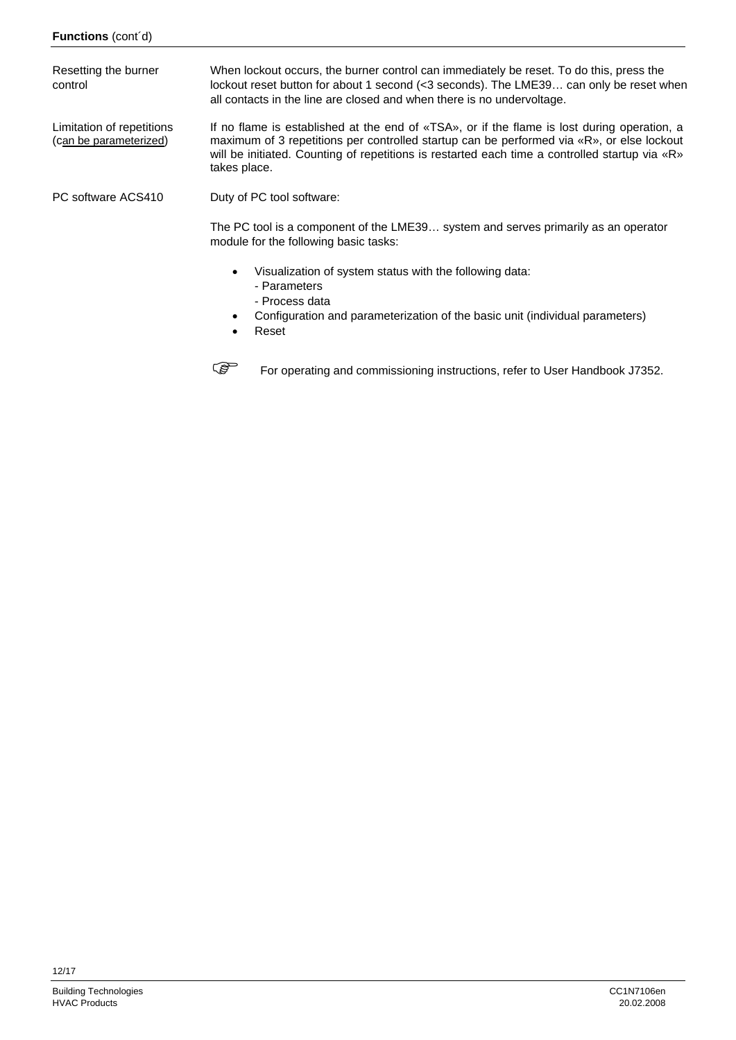When lockout occurs, the burner control can immediately be reset. To do this, press the lockout reset button for about 1 second (<3 seconds). The LME39... can only be reset when all contacts in the line are closed and when there is no undervoltage. If no flame is established at the end of «TSA», or if the flame is lost during operation, a maximum of 3 repetitions per controlled startup can be performed via «R», or else lockout will be initiated. Counting of repetitions is restarted each time a controlled startup via «R» takes place. Duty of PC tool software: The PC tool is a component of the LME39… system and serves primarily as an operator module for the following basic tasks: • Visualization of system status with the following data: - Parameters - Process data • Configuration and parameterization of the basic unit (individual parameters) Resetting the burner control Limitation of repetitions (can be parameterized) PC software ACS410

• Reset

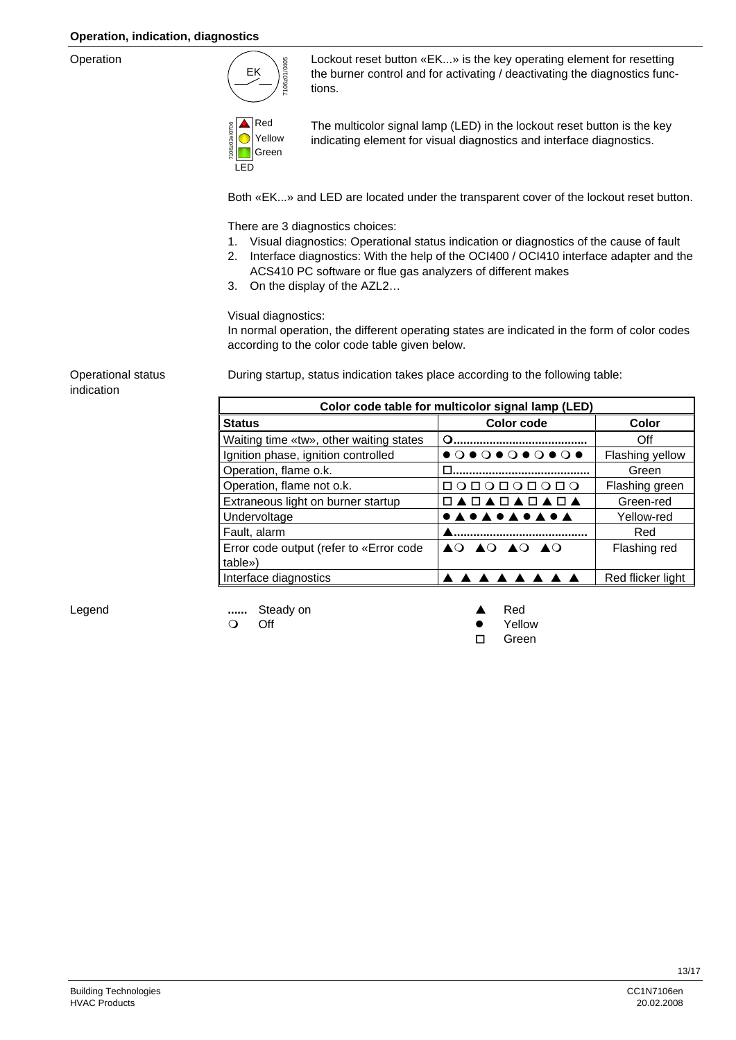#### **Operation, indication, diagnostics**

Operation



Lockout reset button «EK...» is the key operating element for resetting the burner control and for activating / deactivating the diagnostics functions.



The multicolor signal lamp (LED) in the lockout reset button is the key indicating element for visual diagnostics and interface diagnostics.

Both «EK...» and LED are located under the transparent cover of the lockout reset button.

There are 3 diagnostics choices:

- 1. Visual diagnostics: Operational status indication or diagnostics of the cause of fault
- 2. Interface diagnostics: With the help of the OCI400 / OCI410 interface adapter and the ACS410 PC software or flue gas analyzers of different makes
- 3. On the display of the AZL2…

Visual diagnostics:

In normal operation, the different operating states are indicated in the form of color codes according to the color code table given below.

Operational status indication

During startup, status indication takes place according to the following table:

| Color code table for multicolor signal lamp (LED) |               |                   |  |
|---------------------------------------------------|---------------|-------------------|--|
| <b>Status</b>                                     | Color code    | Color             |  |
| Waiting time «tw», other waiting states           | Q             | Off               |  |
| Ignition phase, ignition controlled               |               | Flashing yellow   |  |
| Operation, flame o.k.                             |               | Green             |  |
| Operation, flame not o.k.                         | COOCOOOOO     | Flashing green    |  |
| Extraneous light on burner startup                | □▲□▲□▲□▲□▲    | Green-red         |  |
| Undervoltage                                      | <b>.</b>      | Yellow-red        |  |
| Fault, alarm                                      |               | Red               |  |
| Error code output (refer to «Error code           | AO AO AO AO   | Flashing red      |  |
| table»)                                           |               |                   |  |
| Interface diagnostics                             | <b>AAAAAA</b> | Red flicker light |  |

Legend

**......** Steady on **A** Red

Off the contract of the contract of the contract of the contract of the contract of the contract of the contract of the contract of the contract of the contract of the contract of the contract of the contract of the contra

Green in the control of the control of the Creen in the Creen in the Creen in the Creen in the Creen in the Cre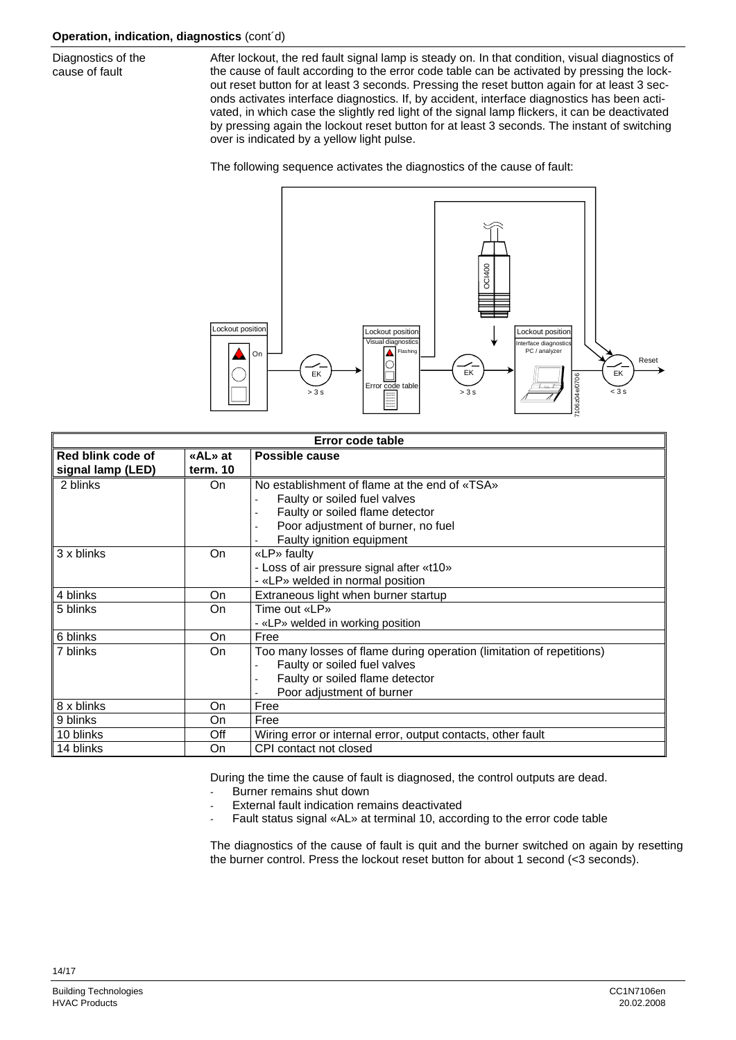Diagnostics of the cause of fault

After lockout, the red fault signal lamp is steady on. In that condition, visual diagnostics of the cause of fault according to the error code table can be activated by pressing the lockout reset button for at least 3 seconds. Pressing the reset button again for at least 3 seconds activates interface diagnostics. If, by accident, interface diagnostics has been activated, in which case the slightly red light of the signal lamp flickers, it can be deactivated by pressing again the lockout reset button for at least 3 seconds. The instant of switching over is indicated by a yellow light pulse.

The following sequence activates the diagnostics of the cause of fault:



| Error code table  |                           |                                                                       |  |
|-------------------|---------------------------|-----------------------------------------------------------------------|--|
| Red blink code of | «AL» at<br>Possible cause |                                                                       |  |
| signal lamp (LED) | term. 10                  |                                                                       |  |
| 2 blinks          | On.                       | No establishment of flame at the end of «TSA»                         |  |
|                   |                           | Faulty or soiled fuel valves                                          |  |
|                   |                           | Faulty or soiled flame detector                                       |  |
|                   |                           | Poor adjustment of burner, no fuel                                    |  |
|                   |                           | Faulty ignition equipment                                             |  |
| 3 x blinks        | On                        | «LP» faulty                                                           |  |
|                   |                           | - Loss of air pressure signal after «t10»                             |  |
|                   |                           | - «LP» welded in normal position                                      |  |
| 4 blinks          | On                        | Extraneous light when burner startup                                  |  |
| 5 blinks          | On                        | Time out «LP»                                                         |  |
|                   |                           | - «LP» welded in working position                                     |  |
| 6 blinks          | On                        | Free                                                                  |  |
| 7 blinks          | On                        | Too many losses of flame during operation (limitation of repetitions) |  |
|                   |                           | Faulty or soiled fuel valves                                          |  |
|                   |                           | Faulty or soiled flame detector                                       |  |
|                   |                           | Poor adjustment of burner                                             |  |
| 8 x blinks        | On                        | Free                                                                  |  |
| 9 blinks          | On                        | Free                                                                  |  |
| 10 blinks         | Off                       | Wiring error or internal error, output contacts, other fault          |  |
| 14 blinks         | On                        | CPI contact not closed                                                |  |

During the time the cause of fault is diagnosed, the control outputs are dead.

- Burner remains shut down
- External fault indication remains deactivated
- Fault status signal «AL» at terminal 10, according to the error code table

The diagnostics of the cause of fault is quit and the burner switched on again by resetting the burner control. Press the lockout reset button for about 1 second (<3 seconds).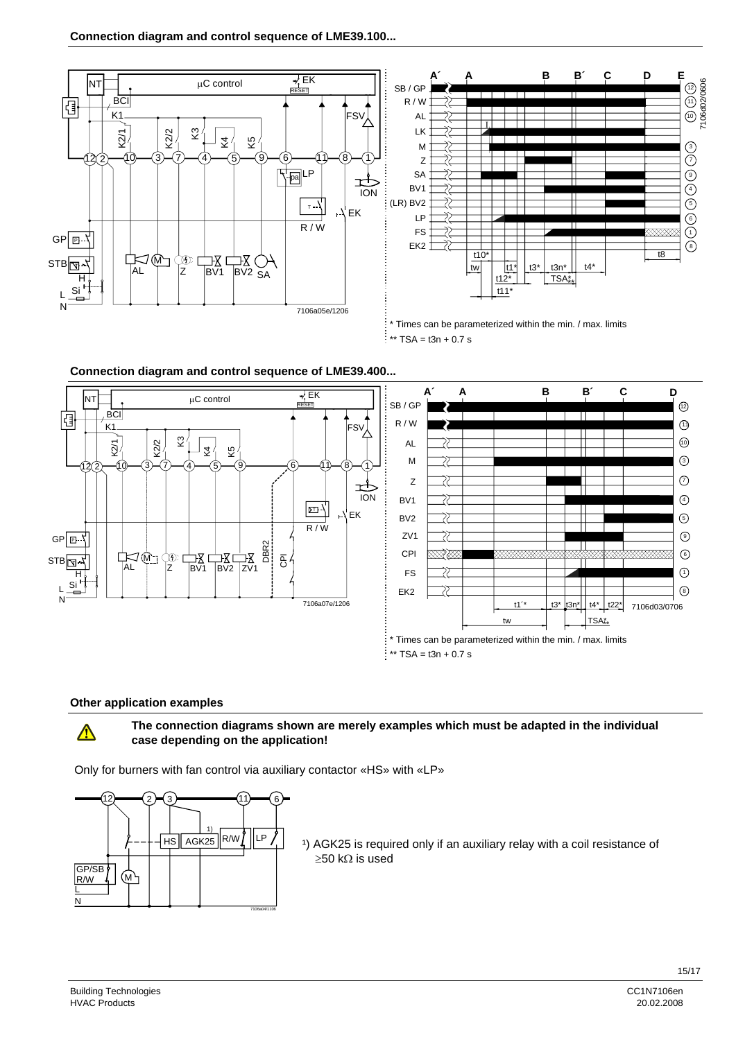





#### **Other application examples**

### $\bigwedge$

#### **The connection diagrams shown are merely examples which must be adapted in the individual case depending on the application!**

Only for burners with fan control via auxiliary contactor «HS» with «LP»



<sup>1</sup>) AGK25 is required only if an auxiliary relay with a coil resistance of ≥50 kΩ is used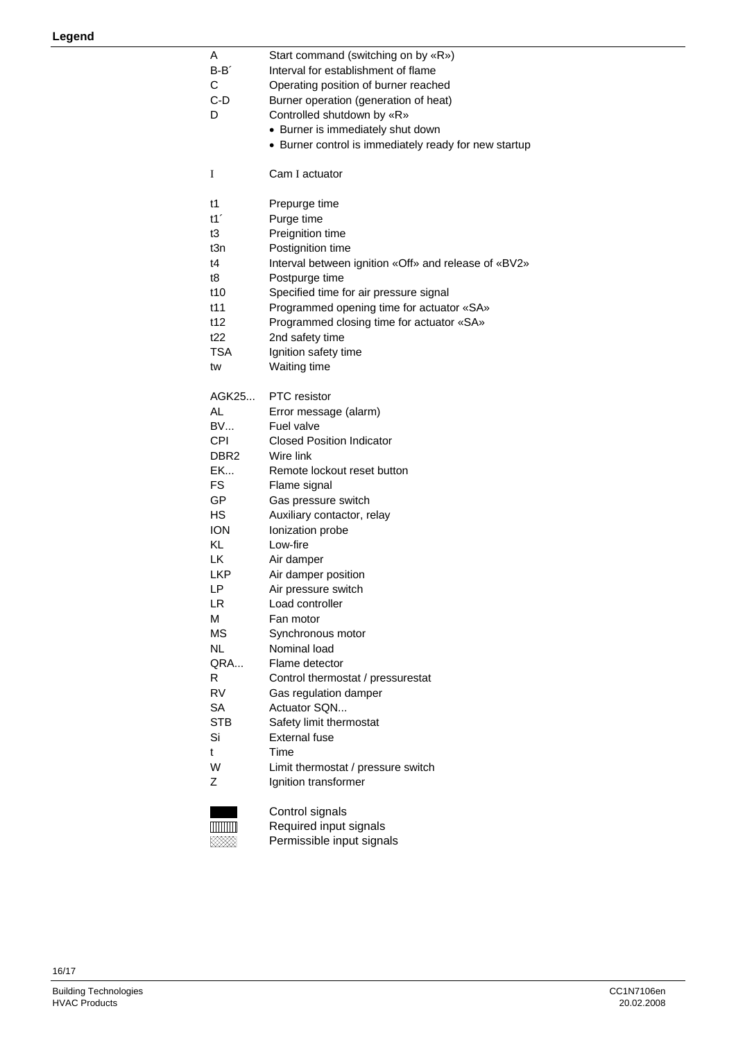| Α<br>$B - B'$<br>С<br>C-D<br>D | Start command (switching on by «R»)<br>Interval for establishment of flame<br>Operating position of burner reached<br>Burner operation (generation of heat)<br>Controlled shutdown by «R»<br>• Burner is immediately shut down<br>• Burner control is immediately ready for new startup |
|--------------------------------|-----------------------------------------------------------------------------------------------------------------------------------------------------------------------------------------------------------------------------------------------------------------------------------------|
| I                              | Cam I actuator                                                                                                                                                                                                                                                                          |
| t1                             | Prepurge time                                                                                                                                                                                                                                                                           |
| t1'                            | Purge time                                                                                                                                                                                                                                                                              |
| t3                             | Preignition time                                                                                                                                                                                                                                                                        |
| t3n                            | Postignition time                                                                                                                                                                                                                                                                       |
| t4                             | Interval between ignition «Off» and release of «BV2»                                                                                                                                                                                                                                    |
| t8                             | Postpurge time                                                                                                                                                                                                                                                                          |
| t10                            | Specified time for air pressure signal                                                                                                                                                                                                                                                  |
| t11                            | Programmed opening time for actuator «SA»                                                                                                                                                                                                                                               |
| t12                            | Programmed closing time for actuator «SA»                                                                                                                                                                                                                                               |
| t22<br>TSA                     | 2nd safety time                                                                                                                                                                                                                                                                         |
| tw                             | Ignition safety time<br>Waiting time                                                                                                                                                                                                                                                    |
|                                |                                                                                                                                                                                                                                                                                         |
| AGK25                          | <b>PTC</b> resistor                                                                                                                                                                                                                                                                     |
| AL                             | Error message (alarm)                                                                                                                                                                                                                                                                   |
| <b>BV</b>                      | Fuel valve                                                                                                                                                                                                                                                                              |
| <b>CPI</b>                     | <b>Closed Position Indicator</b>                                                                                                                                                                                                                                                        |
| DBR <sub>2</sub>               | Wire link                                                                                                                                                                                                                                                                               |
| EK                             | Remote lockout reset button                                                                                                                                                                                                                                                             |
| <b>FS</b>                      | Flame signal                                                                                                                                                                                                                                                                            |
| GP                             | Gas pressure switch                                                                                                                                                                                                                                                                     |
| HS                             | Auxiliary contactor, relay                                                                                                                                                                                                                                                              |
| <b>ION</b>                     | Ionization probe<br>Low-fire                                                                                                                                                                                                                                                            |
| KL.<br>LK                      | Air damper                                                                                                                                                                                                                                                                              |
| <b>LKP</b>                     | Air damper position                                                                                                                                                                                                                                                                     |
| LP                             | Air pressure switch                                                                                                                                                                                                                                                                     |
| LR                             | Load controller                                                                                                                                                                                                                                                                         |
| M                              | Fan motor                                                                                                                                                                                                                                                                               |
| ΜS                             | Synchronous motor                                                                                                                                                                                                                                                                       |
| <b>NL</b>                      | Nominal load                                                                                                                                                                                                                                                                            |
| QRA                            | Flame detector                                                                                                                                                                                                                                                                          |
| R                              | Control thermostat / pressurestat                                                                                                                                                                                                                                                       |
| <b>RV</b>                      | Gas regulation damper                                                                                                                                                                                                                                                                   |
| <b>SA</b>                      | Actuator SON                                                                                                                                                                                                                                                                            |
| <b>STB</b><br>Si               | Safety limit thermostat<br><b>External fuse</b>                                                                                                                                                                                                                                         |
| t                              | Time                                                                                                                                                                                                                                                                                    |
| W                              | Limit thermostat / pressure switch                                                                                                                                                                                                                                                      |
| Z                              | Ignition transformer                                                                                                                                                                                                                                                                    |
|                                |                                                                                                                                                                                                                                                                                         |
|                                | Control signals                                                                                                                                                                                                                                                                         |
|                                | Required input signals                                                                                                                                                                                                                                                                  |
|                                | Permissible input signals                                                                                                                                                                                                                                                               |